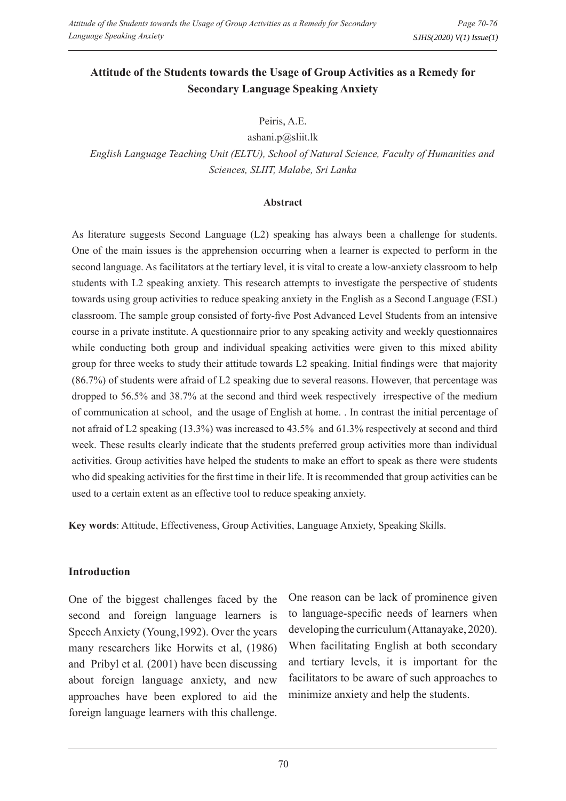# **Attitude of the Students towards the Usage of Group Activities as a Remedy for Secondary Language Speaking Anxiety**

Peiris, A.E.

ashani.p@sliit.lk  *English Language Teaching Unit (ELTU), School of Natural Science, Faculty of Humanities and Sciences, SLIIT, Malabe, Sri Lanka*

#### **Abstract**

As literature suggests Second Language (L2) speaking has always been a challenge for students. One of the main issues is the apprehension occurring when a learner is expected to perform in the second language. As facilitators at the tertiary level, it is vital to create a low-anxiety classroom to help students with L2 speaking anxiety. This research attempts to investigate the perspective of students towards using group activities to reduce speaking anxiety in the English as a Second Language (ESL) classroom. The sample group consisted of forty-five Post Advanced Level Students from an intensive course in a private institute. A questionnaire prior to any speaking activity and weekly questionnaires while conducting both group and individual speaking activities were given to this mixed ability group for three weeks to study their attitude towards L2 speaking. Initial findings were that majority (86.7%) of students were afraid of L2 speaking due to several reasons. However, that percentage was dropped to 56.5% and 38.7% at the second and third week respectively irrespective of the medium of communication at school, and the usage of English at home. . In contrast the initial percentage of not afraid of L2 speaking (13.3%) was increased to 43.5% and 61.3% respectively at second and third week. These results clearly indicate that the students preferred group activities more than individual activities. Group activities have helped the students to make an effort to speak as there were students who did speaking activities for the first time in their life. It is recommended that group activities can be used to a certain extent as an effective tool to reduce speaking anxiety.

**Key words**: Attitude, Effectiveness, Group Activities, Language Anxiety, Speaking Skills.

# **Introduction**

One of the biggest challenges faced by the second and foreign language learners is Speech Anxiety (Young,1992). Over the years many researchers like Horwits et al, (1986) and Pribyl et al*.* (2001) have been discussing about foreign language anxiety, and new approaches have been explored to aid the foreign language learners with this challenge.

One reason can be lack of prominence given to language-specific needs of learners when developing the curriculum (Attanayake, 2020). When facilitating English at both secondary and tertiary levels, it is important for the facilitators to be aware of such approaches to minimize anxiety and help the students.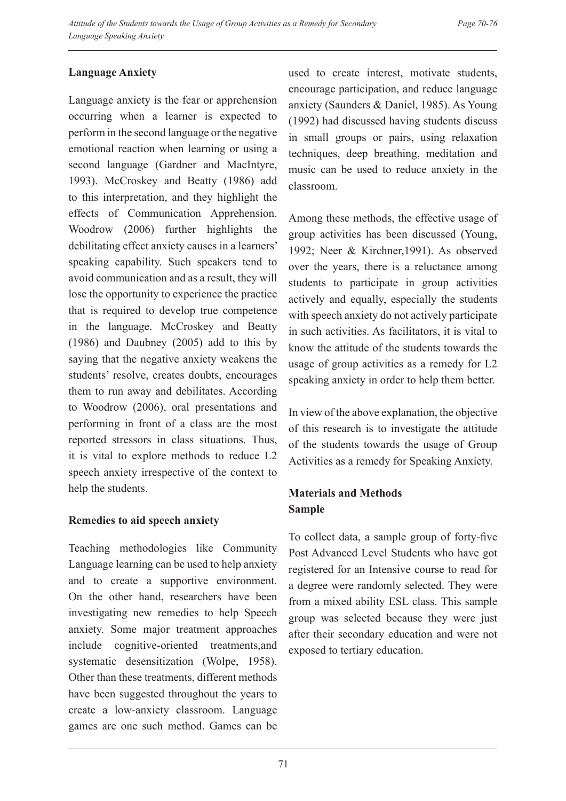# **Language Anxiety**

Language anxiety is the fear or apprehension occurring when a learner is expected to perform in the second language or the negative emotional reaction when learning or using a second language (Gardner and MacIntyre, 1993). McCroskey and Beatty (1986) add to this interpretation, and they highlight the effects of Communication Apprehension. Woodrow (2006) further highlights the debilitating effect anxiety causes in a learners' speaking capability. Such speakers tend to avoid communication and as a result, they will lose the opportunity to experience the practice that is required to develop true competence in the language. McCroskey and Beatty (1986) and Daubney (2005) add to this by saying that the negative anxiety weakens the students' resolve, creates doubts, encourages them to run away and debilitates. According to Woodrow (2006), oral presentations and performing in front of a class are the most reported stressors in class situations. Thus, it is vital to explore methods to reduce L2 speech anxiety irrespective of the context to help the students.

# **Remedies to aid speech anxiety**

Teaching methodologies like Community Language learning can be used to help anxiety and to create a supportive environment. On the other hand, researchers have been investigating new remedies to help Speech anxiety. Some major treatment approaches include cognitive-oriented treatments,and systematic desensitization (Wolpe, 1958). Other than these treatments, different methods have been suggested throughout the years to create a low-anxiety classroom. Language games are one such method. Games can be used to create interest, motivate students, encourage participation, and reduce language anxiety (Saunders & Daniel, 1985). As Young (1992) had discussed having students discuss in small groups or pairs, using relaxation techniques, deep breathing, meditation and music can be used to reduce anxiety in the classroom.

Among these methods, the effective usage of group activities has been discussed (Young, 1992; Neer & Kirchner,1991). As observed over the years, there is a reluctance among students to participate in group activities actively and equally, especially the students with speech anxiety do not actively participate in such activities. As facilitators, it is vital to know the attitude of the students towards the usage of group activities as a remedy for L2 speaking anxiety in order to help them better.

In view of the above explanation, the objective of this research is to investigate the attitude of the students towards the usage of Group Activities as a remedy for Speaking Anxiety.

# **Materials and Methods Sample**

To collect data, a sample group of forty-five Post Advanced Level Students who have got registered for an Intensive course to read for a degree were randomly selected. They were from a mixed ability ESL class. This sample group was selected because they were just after their secondary education and were not exposed to tertiary education.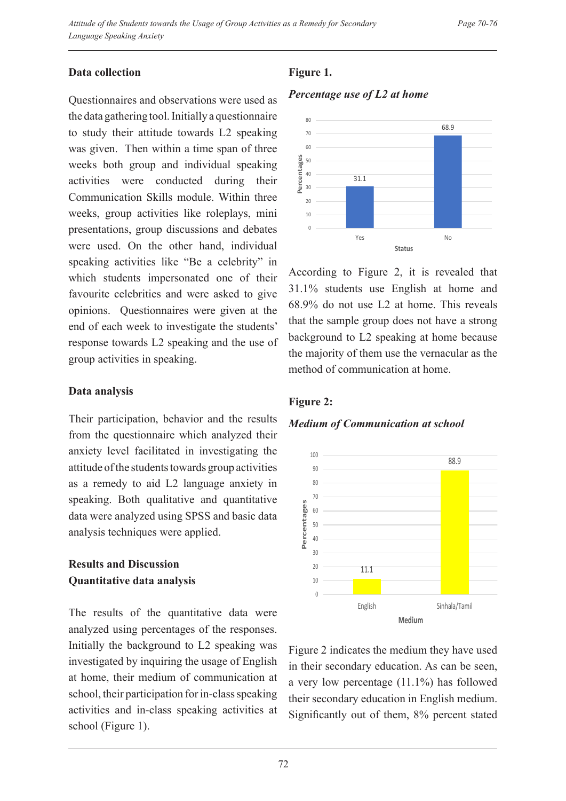### **Data collection**

Questionnaires and observations were used as the data gathering tool. Initially a questionnaire to study their attitude towards L2 speaking was given. Then within a time span of three weeks both group and individual speaking activities were conducted during their Communication Skills module. Within three weeks, group activities like roleplays, mini presentations, group discussions and debates were used. On the other hand, individual speaking activities like "Be a celebrity" in which students impersonated one of their favourite celebrities and were asked to give opinions. Questionnaires were given at the end of each week to investigate the students' response towards L2 speaking and the use of group activities in speaking.

#### **Data analysis**

Their participation, behavior and the results from the questionnaire which analyzed their anxiety level facilitated in investigating the attitude of the students towards group activities as a remedy to aid L2 language anxiety in speaking. Both qualitative and quantitative data were analyzed using SPSS and basic data analysis techniques were applied.

# **Results and Discussion Quantitative data analysis**

The results of the quantitative data were analyzed using percentages of the responses. Initially the background to L2 speaking was investigated by inquiring the usage of English at home, their medium of communication at school, their participation for in-class speaking activities and in-class speaking activities at school (Figure 1).

# **Figure 1.**

*Percentage use of L2 at home*



According to Figure 2, it is revealed that 31.1% students use English at home and 68.9% do not use L2 at home. This reveals that the sample group does not have a strong background to L2 speaking at home because the majority of them use the vernacular as the method of communication at home.

### **Figure 2:**

#### *Medium of Communication at school*



Figure 2 indicates the medium they have used in their secondary education. As can be seen, a very low percentage (11.1%) has followed their secondary education in English medium. Significantly out of them, 8% percent stated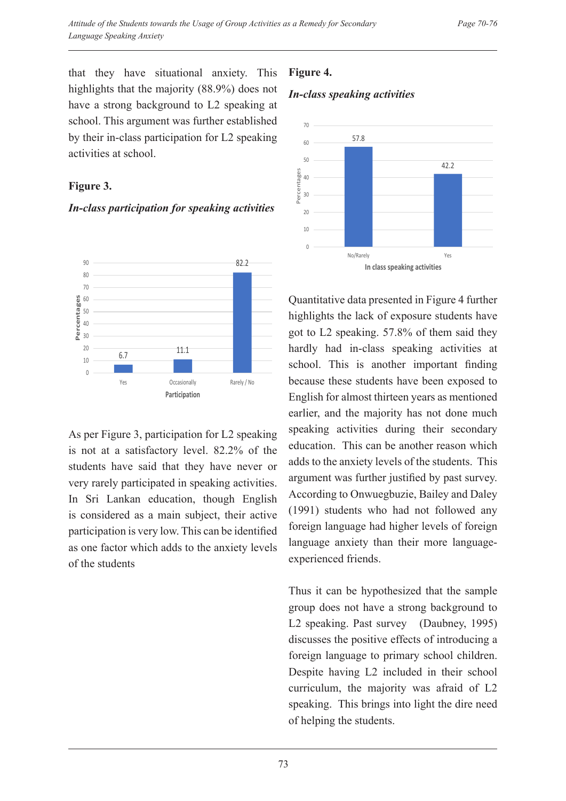that they have situational anxiety. This highlights that the majority (88.9%) does not have a strong background to L2 speaking at school. This argument was further established by their in-class participation for L2 speaking activities at school.

### **Figure 3.**

### *In-class participation for speaking activities*



As per Figure 3, participation for L2 speaking is not at a satisfactory level. 82.2% of the students have said that they have never or very rarely participated in speaking activities. In Sri Lankan education, though English is considered as a main subject, their active participation is very low. This can be identified as one factor which adds to the anxiety levels of the students

# **Figure 4.**

#### *In-class speaking activities*



Quantitative data presented in Figure 4 further highlights the lack of exposure students have got to L2 speaking. 57.8% of them said they hardly had in-class speaking activities at school. This is another important finding because these students have been exposed to English for almost thirteen years as mentioned earlier, and the majority has not done much speaking activities during their secondary education. This can be another reason which adds to the anxiety levels of the students. This argument was further justified by past survey. According to Onwuegbuzie, Bailey and Daley (1991) students who had not followed any foreign language had higher levels of foreign language anxiety than their more languageexperienced friends.

Thus it can be hypothesized that the sample group does not have a strong background to L2 speaking. Past survey (Daubney, 1995) discusses the positive effects of introducing a foreign language to primary school children. Despite having L2 included in their school curriculum, the majority was afraid of L2 speaking. This brings into light the dire need of helping the students.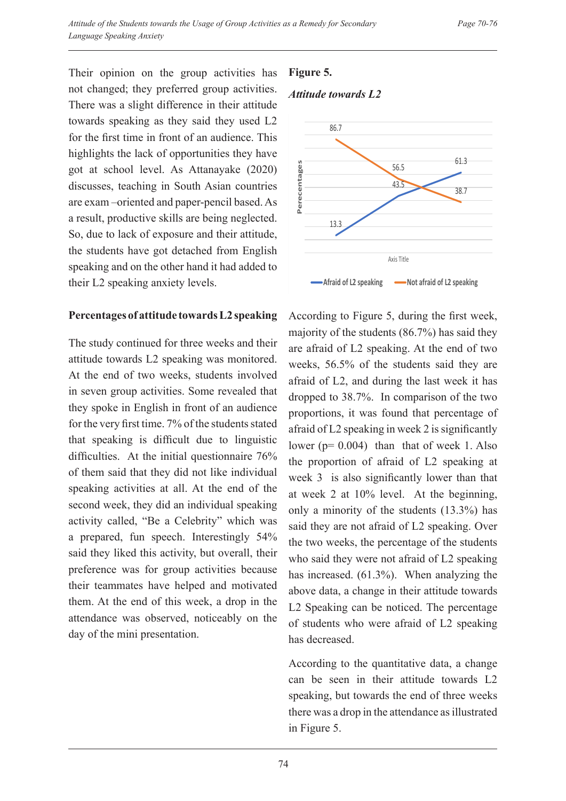Their opinion on the group activities has not changed; they preferred group activities. There was a slight difference in their attitude towards speaking as they said they used L2 for the first time in front of an audience. This highlights the lack of opportunities they have got at school level. As Attanayake (2020) discusses, teaching in South Asian countries are exam –oriented and paper-pencil based. As a result, productive skills are being neglected. So, due to lack of exposure and their attitude, the students have got detached from English speaking and on the other hand it had added to their L2 speaking anxiety levels.

### **Percentages of attitude towards L2 speaking**

The study continued for three weeks and their attitude towards L2 speaking was monitored. At the end of two weeks, students involved in seven group activities. Some revealed that they spoke in English in front of an audience for the very first time. 7% of the students stated that speaking is difficult due to linguistic difficulties. At the initial questionnaire 76% of them said that they did not like individual speaking activities at all. At the end of the second week, they did an individual speaking activity called, "Be a Celebrity" which was a prepared, fun speech. Interestingly 54% said they liked this activity, but overall, their preference was for group activities because their teammates have helped and motivated them. At the end of this week, a drop in the attendance was observed, noticeably on the day of the mini presentation.

### **Figure 5.**

#### *Attitude towards L2*



According to Figure 5, during the first week, majority of the students (86.7%) has said they are afraid of L2 speaking. At the end of two weeks, 56.5% of the students said they are afraid of L2, and during the last week it has dropped to 38.7%. In comparison of the two proportions, it was found that percentage of afraid of L2 speaking in week 2 is significantly lower ( $p= 0.004$ ) than that of week 1. Also the proportion of afraid of L2 speaking at week 3 is also significantly lower than that at week 2 at 10% level. At the beginning, only a minority of the students (13.3%) has said they are not afraid of L2 speaking. Over the two weeks, the percentage of the students who said they were not afraid of L<sub>2</sub> speaking has increased. (61.3%). When analyzing the above data, a change in their attitude towards L2 Speaking can be noticed. The percentage of students who were afraid of L2 speaking has decreased.

According to the quantitative data, a change can be seen in their attitude towards L2 speaking, but towards the end of three weeks there was a drop in the attendance as illustrated in Figure 5.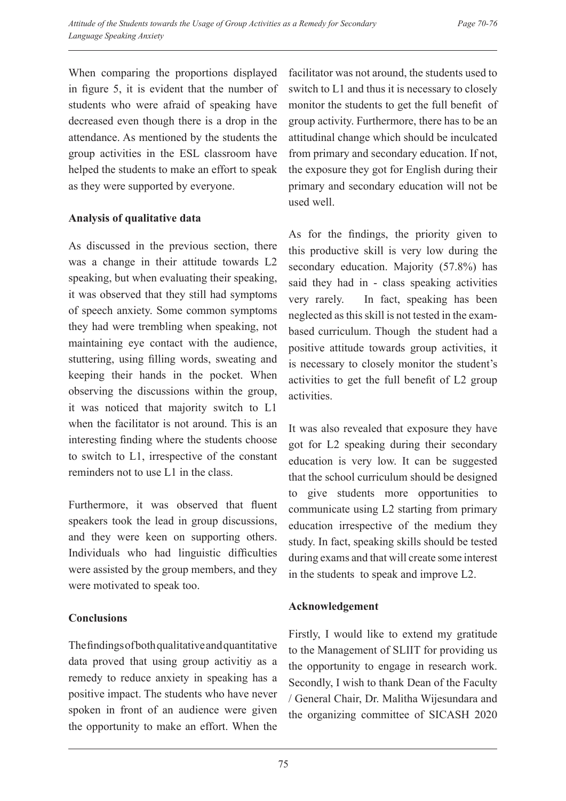When comparing the proportions displayed in figure 5, it is evident that the number of students who were afraid of speaking have decreased even though there is a drop in the attendance. As mentioned by the students the group activities in the ESL classroom have helped the students to make an effort to speak as they were supported by everyone.

# **Analysis of qualitative data**

As discussed in the previous section, there was a change in their attitude towards L2 speaking, but when evaluating their speaking, it was observed that they still had symptoms of speech anxiety. Some common symptoms they had were trembling when speaking, not maintaining eye contact with the audience, stuttering, using filling words, sweating and keeping their hands in the pocket. When observing the discussions within the group, it was noticed that majority switch to L1 when the facilitator is not around. This is an interesting finding where the students choose to switch to L1, irrespective of the constant reminders not to use L1 in the class.

Furthermore, it was observed that fluent speakers took the lead in group discussions, and they were keen on supporting others. Individuals who had linguistic difficulties were assisted by the group members, and they were motivated to speak too.

# **Conclusions**

The findings of both qualitative and quantitative data proved that using group activitiy as a remedy to reduce anxiety in speaking has a positive impact. The students who have never spoken in front of an audience were given the opportunity to make an effort. When the facilitator was not around, the students used to switch to L1 and thus it is necessary to closely monitor the students to get the full benefit of group activity. Furthermore, there has to be an attitudinal change which should be inculcated from primary and secondary education. If not, the exposure they got for English during their primary and secondary education will not be used well.

As for the findings, the priority given to this productive skill is very low during the secondary education. Majority (57.8%) has said they had in - class speaking activities very rarely. In fact, speaking has been neglected as this skill is not tested in the exambased curriculum. Though the student had a positive attitude towards group activities, it is necessary to closely monitor the student's activities to get the full benefit of L2 group activities.

It was also revealed that exposure they have got for L2 speaking during their secondary education is very low. It can be suggested that the school curriculum should be designed to give students more opportunities to communicate using L2 starting from primary education irrespective of the medium they study. In fact, speaking skills should be tested during exams and that will create some interest in the students to speak and improve L2.

# **Acknowledgement**

Firstly, I would like to extend my gratitude to the Management of SLIIT for providing us the opportunity to engage in research work. Secondly, I wish to thank Dean of the Faculty / General Chair, Dr. Malitha Wijesundara and the organizing committee of SICASH 2020